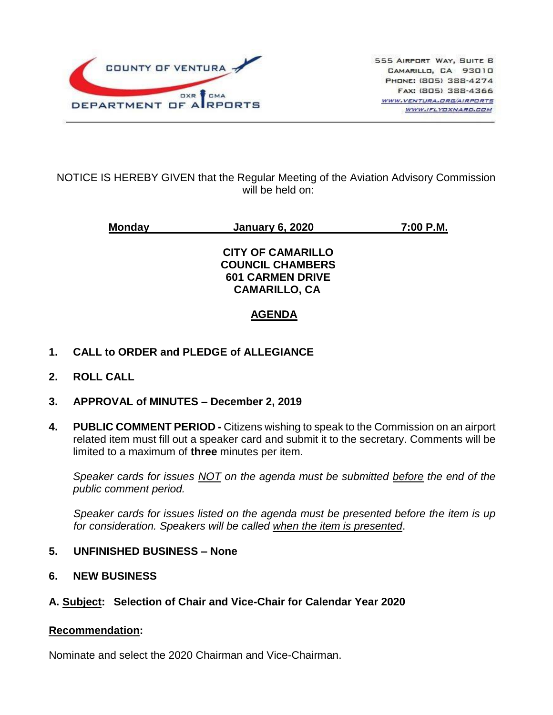

## NOTICE IS HEREBY GIVEN that the Regular Meeting of the Aviation Advisory Commission will be held on:

**Monday January 6, 2020 7:00 P.M. CITY OF CAMARILLO COUNCIL CHAMBERS 601 CARMEN DRIVE CAMARILLO, CA AGENDA**

- **1. CALL to ORDER and PLEDGE of ALLEGIANCE**
- **2. ROLL CALL**
- **3. APPROVAL of MINUTES – December 2, 2019**
- **4. PUBLIC COMMENT PERIOD -** Citizens wishing to speak to the Commission on an airport related item must fill out a speaker card and submit it to the secretary. Comments will be limited to a maximum of **three** minutes per item.

*Speaker cards for issues NOT on the agenda must be submitted before the end of the public comment period.*

*Speaker cards for issues listed on the agenda must be presented before the item is up for consideration. Speakers will be called when the item is presented*.

- **5. UNFINISHED BUSINESS – None**
- **6. NEW BUSINESS**
- **A. Subject: Selection of Chair and Vice-Chair for Calendar Year 2020**

## **Recommendation:**

Nominate and select the 2020 Chairman and Vice-Chairman.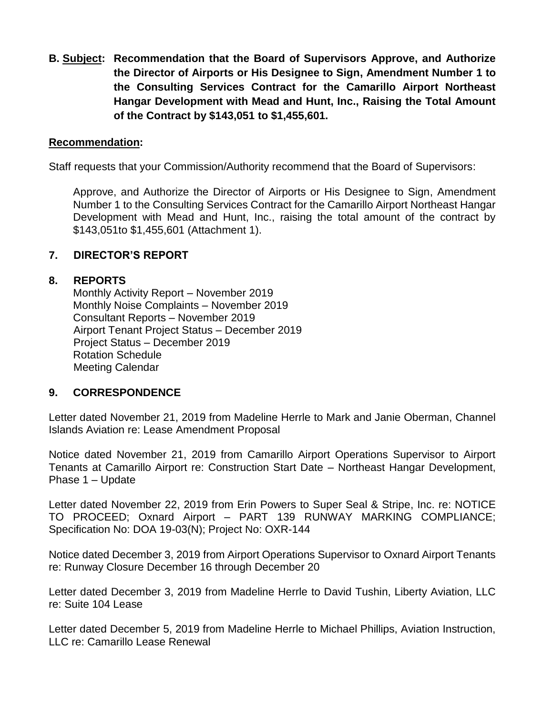**B. Subject: Recommendation that the Board of Supervisors Approve, and Authorize the Director of Airports or His Designee to Sign, Amendment Number 1 to the Consulting Services Contract for the Camarillo Airport Northeast Hangar Development with Mead and Hunt, Inc., Raising the Total Amount of the Contract by \$143,051 to \$1,455,601.**

## **Recommendation:**

Staff requests that your Commission/Authority recommend that the Board of Supervisors:

Approve, and Authorize the Director of Airports or His Designee to Sign, Amendment Number 1 to the Consulting Services Contract for the Camarillo Airport Northeast Hangar Development with Mead and Hunt, Inc., raising the total amount of the contract by \$143,051to \$1,455,601 (Attachment 1).

#### **7. DIRECTOR'S REPORT**

#### **8. REPORTS**

Monthly Activity Report – November 2019 Monthly Noise Complaints – November 2019 Consultant Reports – November 2019 Airport Tenant Project Status – December 2019 Project Status – December 2019 Rotation Schedule Meeting Calendar

## **9. CORRESPONDENCE**

Letter dated November 21, 2019 from Madeline Herrle to Mark and Janie Oberman, Channel Islands Aviation re: Lease Amendment Proposal

Notice dated November 21, 2019 from Camarillo Airport Operations Supervisor to Airport Tenants at Camarillo Airport re: Construction Start Date – Northeast Hangar Development, Phase 1 – Update

Letter dated November 22, 2019 from Erin Powers to Super Seal & Stripe, Inc. re: NOTICE TO PROCEED; Oxnard Airport – PART 139 RUNWAY MARKING COMPLIANCE; Specification No: DOA 19-03(N); Project No: OXR-144

Notice dated December 3, 2019 from Airport Operations Supervisor to Oxnard Airport Tenants re: Runway Closure December 16 through December 20

Letter dated December 3, 2019 from Madeline Herrle to David Tushin, Liberty Aviation, LLC re: Suite 104 Lease

Letter dated December 5, 2019 from Madeline Herrle to Michael Phillips, Aviation Instruction, LLC re: Camarillo Lease Renewal